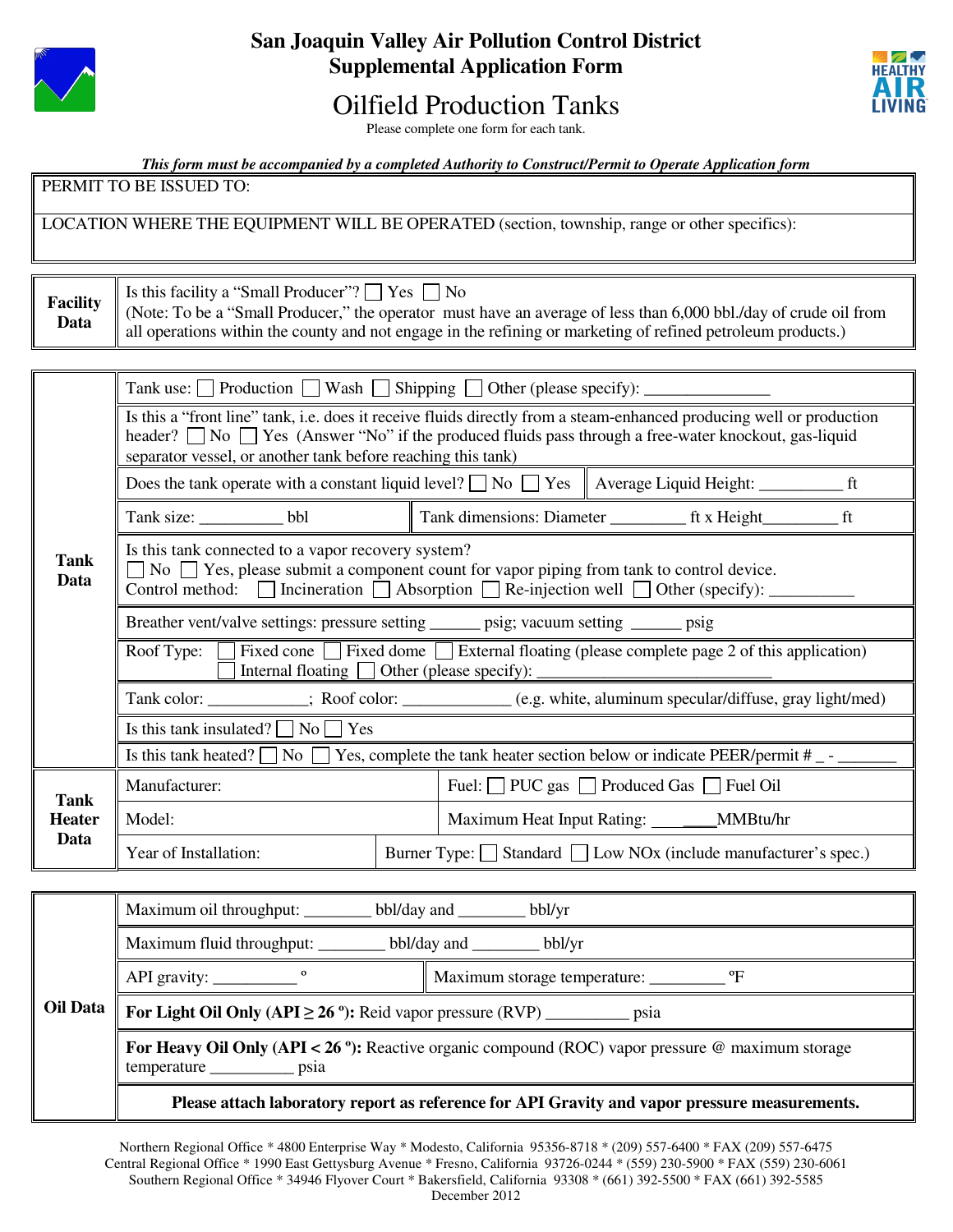

## **San Joaquin Valley Air Pollution Control District Supplemental Application Form**

# Oilfield Production Tanks



Please complete one form for each tank.

*This form must be accompanied by a completed Authority to Construct/Permit to Operate Application form*

PERMIT TO BE ISSUED TO:

LOCATION WHERE THE EQUIPMENT WILL BE OPERATED (section, township, range or other specifics):

**Facility**  Is this facility a "Small Producer"?  $\Box$  Yes  $\Box$  No

**Data**  (Note: To be a "Small Producer," the operator must have an average of less than 6,000 bbl./day of crude oil from all operations within the county and not engage in the refining or marketing of refined petroleum products.)

|                                      | Tank use: $\Box$ Production $\Box$ Wash $\Box$ Shipping $\Box$ Other (please specify): $\Box$                                                                                                                                                                                             |  |                                                                          |                                                                                                             |  |
|--------------------------------------|-------------------------------------------------------------------------------------------------------------------------------------------------------------------------------------------------------------------------------------------------------------------------------------------|--|--------------------------------------------------------------------------|-------------------------------------------------------------------------------------------------------------|--|
| Tank<br>Data                         | Is this a "front line" tank, i.e. does it receive fluids directly from a steam-enhanced producing well or production<br>header? No Yes (Answer "No" if the produced fluids pass through a free-water knockout, gas-liquid<br>separator vessel, or another tank before reaching this tank) |  |                                                                          |                                                                                                             |  |
|                                      |                                                                                                                                                                                                                                                                                           |  |                                                                          |                                                                                                             |  |
|                                      | Tank size: bbl                                                                                                                                                                                                                                                                            |  |                                                                          |                                                                                                             |  |
|                                      | Is this tank connected to a vapor recovery system?<br>$\Box$ No $\Box$ Yes, please submit a component count for vapor piping from tank to control device.<br>Control method: $\Box$ Incineration $\Box$ Absorption $\Box$ Re-injection well $\Box$ Other (specify):                       |  |                                                                          |                                                                                                             |  |
|                                      | Breather vent/valve settings: pressure setting _______ psig; vacuum setting ______ psig                                                                                                                                                                                                   |  |                                                                          |                                                                                                             |  |
|                                      | Roof Type: $\Box$ Fixed cone $\Box$ Fixed dome $\Box$ External floating (please complete page 2 of this application)<br>Internal floating $\Box$ Other (please specify):                                                                                                                  |  |                                                                          |                                                                                                             |  |
|                                      |                                                                                                                                                                                                                                                                                           |  |                                                                          | Tank color: ____________; Roof color: ______________(e.g. white, aluminum specular/diffuse, gray light/med) |  |
|                                      | Is this tank insulated? $\Box$ No $\Box$ Yes                                                                                                                                                                                                                                              |  |                                                                          |                                                                                                             |  |
|                                      | Is this tank heated? $\Box$ No $\Box$ Yes, complete the tank heater section below or indicate PEER/permit #                                                                                                                                                                               |  |                                                                          |                                                                                                             |  |
| <b>Tank</b><br><b>Heater</b><br>Data | Manufacturer:                                                                                                                                                                                                                                                                             |  | Fuel: D PUC gas D Produced Gas D Fuel Oil                                |                                                                                                             |  |
|                                      | Model:                                                                                                                                                                                                                                                                                    |  | Maximum Heat Input Rating: ________MMBtu/hr                              |                                                                                                             |  |
|                                      | Year of Installation:                                                                                                                                                                                                                                                                     |  | Burner Type: Standard Low NO <sub>x</sub> (include manufacturer's spec.) |                                                                                                             |  |

| Maximum oil throughput: ____________ bbl/day and _________ bbl/yr                                                           |  |  |  |
|-----------------------------------------------------------------------------------------------------------------------------|--|--|--|
| Maximum fluid throughput: ____________ bbl/day and _________ bbl/yr                                                         |  |  |  |
| API gravity: $\frac{\ }{\ }$                                                                                                |  |  |  |
| <b>Oil Data</b> $\parallel$ For Light Oil Only (API $\geq$ 26 <sup>°</sup> ): Reid vapor pressure (RVP) ______________ psia |  |  |  |
| For Heavy Oil Only (API < 26 °): Reactive organic compound (ROC) vapor pressure @ maximum storage                           |  |  |  |
| Please attach laboratory report as reference for API Gravity and vapor pressure measurements.                               |  |  |  |

Northern Regional Office \* 4800 Enterprise Way \* Modesto, California 95356-8718 \* (209) 557-6400 \* FAX (209) 557-6475 Central Regional Office \* 1990 East Gettysburg Avenue \* Fresno, California 93726-0244 \* (559) 230-5900 \* FAX (559) 230-6061 Southern Regional Office \* 34946 Flyover Court \* Bakersfield, California 93308 \* (661) 392-5500 \* FAX (661) 392-5585 December 2012